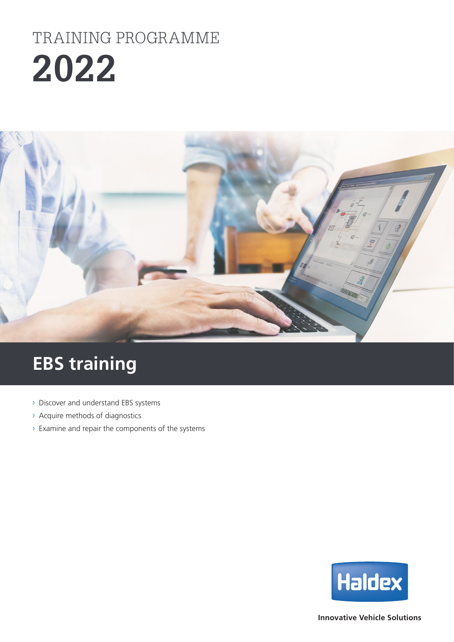# **2022** TRAINING PROGRAMME



## **EBS training**

- › Discover and understand EBS systems
- › Acquire methods of diagnostics
- › Examine and repair the components of the systems



**Innovative Vehicle Solutions**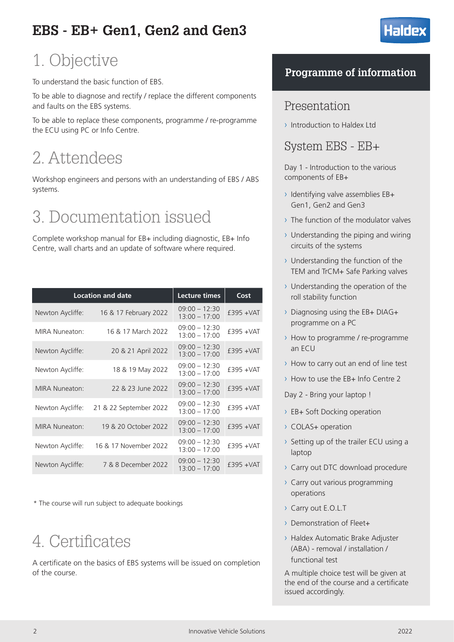### **EBS - EB+ Gen1, Gen2 and Gen3**

### 1. Objective

To understand the basic function of EBS.

To be able to diagnose and rectify / replace the different components and faults on the EBS systems.

To be able to replace these components, programme / re-programme the ECU using PC or Info Centre.

## 2. Attendees

Workshop engineers and persons with an understanding of EBS / ABS systems.

## 3. Documentation issued

Complete workshop manual for EB+ including diagnostic, EB+ Info Centre, wall charts and an update of software where required.

|                       | <b>Location and date</b> | <b>Lecture times</b>               | Cost         |
|-----------------------|--------------------------|------------------------------------|--------------|
| Newton Aycliffe:      | 16 & 17 February 2022    | $09:00 - 12:30$<br>$13:00 - 17:00$ | $£395 + VAT$ |
| MIRA Nuneaton:        | 16 & 17 March 2022       | $09:00 - 12:30$<br>$13:00 - 17:00$ | $£395 + VAT$ |
| Newton Aycliffe:      | 20 & 21 April 2022       | $09:00 - 12:30$<br>$13:00 - 17:00$ | $£395 + VAT$ |
| Newton Aycliffe:      | 18 & 19 May 2022         | $09:00 - 12:30$<br>$13:00 - 17:00$ | $£395 + VAT$ |
| <b>MIRA Nuneaton:</b> | 22 & 23 June 2022        | $09:00 - 12:30$<br>$13:00 - 17:00$ | $£395 + VAT$ |
| Newton Aycliffe:      | 21 & 22 September 2022   | $09:00 - 12:30$<br>$13:00 - 17:00$ | $£395 + VAT$ |
| <b>MIRA Nuneaton:</b> | 19 & 20 October 2022     | $09:00 - 12:30$<br>$13:00 - 17:00$ | £395 + VAT   |
| Newton Aycliffe:      | 16 & 17 November 2022    | $09:00 - 12:30$<br>$13:00 - 17:00$ | $£395 + VAT$ |
| Newton Aycliffe:      | 7 & 8 December 2022      | $09:00 - 12:30$<br>$13:00 - 17:00$ | $£395 + VAT$ |

\* The course will run subject to adequate bookings

## 4. Certificates

A certificate on the basics of EBS systems will be issued on completion of the course.

### **Programme of information**

**Halde** 

### Presentation

› Introduction to Haldex Ltd

System EBS - EB+

Day 1 - Introduction to the various components of EB+

- › Identifying valve assemblies EB+ Gen1, Gen2 and Gen3
- › The function of the modulator valves
- $\rightarrow$  Understanding the piping and wiring circuits of the systems
- › Understanding the function of the TEM and TrCM+ Safe Parking valves
- › Understanding the operation of the roll stability function
- › Diagnosing using the EB+ DIAG+ programme on a PC
- › How to programme / re-programme an ECU
- › How to carry out an end of line test
- › How to use the EB+ Info Centre 2

Day 2 - Bring your laptop !

- › EB+ Soft Docking operation
- › COLAS+ operation
- › Setting up of the trailer ECU using a laptop
- › Carry out DTC download procedure
- › Carry out various programming operations
- › Carry out E.O.L.T
- › Demonstration of Fleet+
- › Haldex Automatic Brake Adjuster (ABA) - removal / installation / functional test

A multiple choice test will be given at the end of the course and a certificate issued accordingly.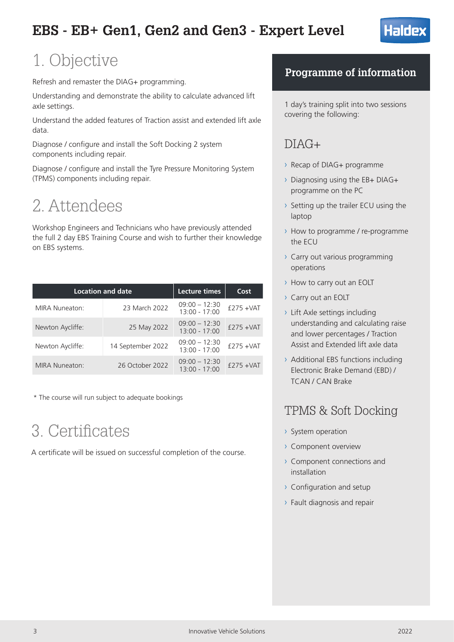

### 1. Objective

Refresh and remaster the DIAG+ programming.

Understanding and demonstrate the ability to calculate advanced lift axle settings.

Understand the added features of Traction assist and extended lift axle data.

Diagnose / configure and install the Soft Docking 2 system components including repair.

Diagnose / configure and install the Tyre Pressure Monitoring System (TPMS) components including repair.

## 2. Attendees

Workshop Engineers and Technicians who have previously attended the full 2 day EBS Training Course and wish to further their knowledge on EBS systems.

| <b>Location and date</b> |                   | Lecture times                      | Cost          |
|--------------------------|-------------------|------------------------------------|---------------|
| <b>MIRA Nuneaton:</b>    | 23 March 2022     | $09:00 - 12:30$<br>13:00 - 17:00   | $f275 + VAT$  |
| Newton Aycliffe:         | 25 May 2022       | $09:00 - 12:30$<br>$13:00 - 17:00$ | $f275 + VAT$  |
| Newton Aycliffe:         | 14 September 2022 | $09:00 - 12:30$<br>13:00 - 17:00   | $f$ 275 + VAT |
| <b>MIRA Nuneaton:</b>    | 26 October 2022   | $09:00 - 12:30$<br>$13:00 - 17:00$ | $£275 + VAT$  |

\* The course will run subject to adequate bookings

## 3. Certificates

A certificate will be issued on successful completion of the course.

### **Programme of information**

1 day's training split into two sessions covering the following:

### $DIAG+$

- › Recap of DIAG+ programme
- › Diagnosing using the EB+ DIAG+ programme on the PC
- › Setting up the trailer ECU using the laptop
- › How to programme / re-programme the ECU
- › Carry out various programming operations
- › How to carry out an EOLT
- › Carry out an EOLT
- › Lift Axle settings including understanding and calculating raise and lower percentages / Traction Assist and Extended lift axle data
- › Additional EBS functions including Electronic Brake Demand (EBD) / TCAN / CAN Brake

### TPMS & Soft Docking

- › System operation
- › Component overview
- › Component connections and installation
- › Configuration and setup
- › Fault diagnosis and repair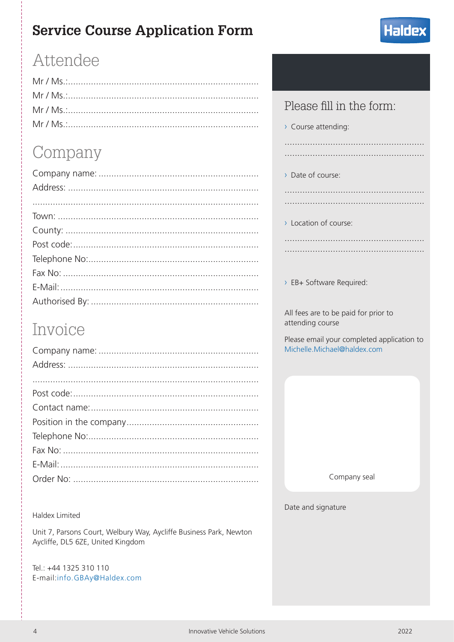### **Service Course Application Form**



### Attendee

## Company

### Invoice

#### **Haldex Limited**

Unit 7, Parsons Court, Welbury Way, Aycliffe Business Park, Newton Aycliffe, DL5 6ZE, United Kingdom

Tel.: +44 1325 310 110 E-mail:info.GBAy@Haldex.com

### Please fill in the form:

> Course attending:

> Date of course:

> Location of course:

> EB+ Software Required:

All fees are to be paid for prior to attending course

Please email your completed application to Michelle.Michael@haldex.com

Company seal

Date and signature